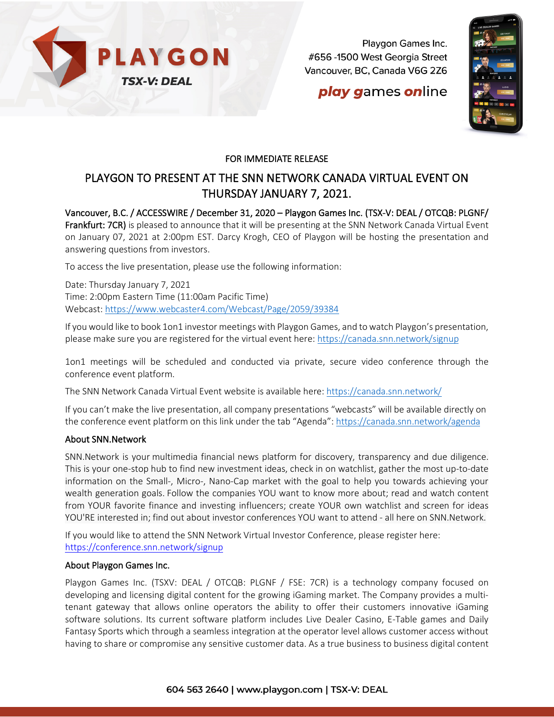

Playgon Games Inc. #656 -1500 West Georgia Street Vancouver, BC, Canada V6G 2Z6

# **play games online**



### FOR IMMEDIATE RELEASE

### PLAYGON TO PRESENT AT THE SNN NETWORK CANADA VIRTUAL EVENT ON THURSDAY JANUARY 7, 2021.

Vancouver, B.C. / ACCESSWIRE / December 31, 2020 – Playgon Games Inc. (TSX-V: DEAL / OTCQB: PLGNF/ Frankfurt: 7CR) is pleased to announce that it will be presenting at the SNN Network Canada Virtual Event on January 07, 2021 at 2:00pm EST. Darcy Krogh, CEO of Playgon will be hosting the presentation and answering questions from investors.

To access the live presentation, please use the following information:

Date: Thursday January 7, 2021 Time: 2:00pm Eastern Time (11:00am Pacific Time) Webcast:<https://www.webcaster4.com/Webcast/Page/2059/39384>

If you would like to book 1on1 investor meetings with Playgon Games, and to watch Playgon's presentation, please make sure you are registered for the virtual event here:<https://canada.snn.network/signup>

1on1 meetings will be scheduled and conducted via private, secure video conference through the conference event platform.

The SNN Network Canada Virtual Event website is available here:<https://canada.snn.network/>

If you can't make the live presentation, all company presentations "webcasts" will be available directly on the conference event platform on this link under the tab "Agenda"[: https://canada.snn.network/agenda](https://canada.snn.network/agenda)

### About SNN.Network

SNN.Network is your multimedia financial news platform for discovery, transparency and due diligence. This is your one-stop hub to find new investment ideas, check in on watchlist, gather the most up-to-date information on the Small-, Micro-, Nano-Cap market with the goal to help you towards achieving your wealth generation goals. Follow the companies YOU want to know more about; read and watch content from YOUR favorite finance and investing influencers; create YOUR own watchlist and screen for ideas YOU'RE interested in; find out about investor conferences YOU want to attend - all here on SNN.Network.

If you would like to attend the SNN Network Virtual Investor Conference, please register here: <https://conference.snn.network/signup>

#### About Playgon Games Inc.

Playgon Games Inc. (TSXV: DEAL / OTCQB: PLGNF / FSE: 7CR) is a technology company focused on developing and licensing digital content for the growing iGaming market. The Company provides a multitenant gateway that allows online operators the ability to offer their customers innovative iGaming software solutions. Its current software platform includes Live Dealer Casino, E-Table games and Daily Fantasy Sports which through a seamless integration at the operator level allows customer access without having to share or compromise any sensitive customer data. As a true business to business digital content